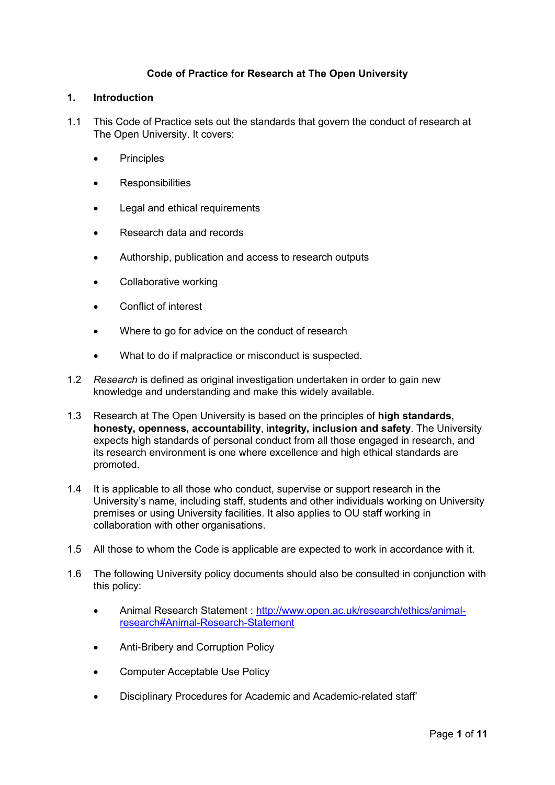# **Code of Practice for Research at The Open University**

#### **1. Introduction**

- 1.1 This Code of Practice sets out the standards that govern the conduct of research at The Open University. It covers:
	- **Principles**
	- **Responsibilities**
	- Legal and ethical requirements
	- Research data and records
	- Authorship, publication and access to research outputs
	- Collaborative working
	- Conflict of interest
	- Where to go for advice on the conduct of research
	- What to do if malpractice or misconduct is suspected.
- 1.2 *Research* is defined as original investigation undertaken in order to gain new knowledge and understanding and make this widely available.
- 1.3 Research at The Open University is based on the principles of **high standards**, **honesty, openness, accountability**, i**ntegrity, inclusion and safety**. The University expects high standards of personal conduct from all those engaged in research, and its research environment is one where excellence and high ethical standards are promoted.
- 1.4 It is applicable to all those who conduct, supervise or support research in the University's name, including staff, students and other individuals working on University premises or using University facilities. It also applies to OU staff working in collaboration with other organisations.
- 1.5 All those to whom the Code is applicable are expected to work in accordance with it.
- 1.6 The following University policy documents should also be consulted in conjunction with this policy:
	- Animal Research Statement : [http://www.open.ac.uk/research/ethics/animal](http://www.open.ac.uk/research/ethics/animal-research#Animal-Research-Statement)[research#Animal-Research-Statement](http://www.open.ac.uk/research/ethics/animal-research#Animal-Research-Statement)
	- Anti-Bribery and Corruption Policy
	- Computer Acceptable Use Policy
	- Disciplinary Procedures for Academic and Academic-related staff'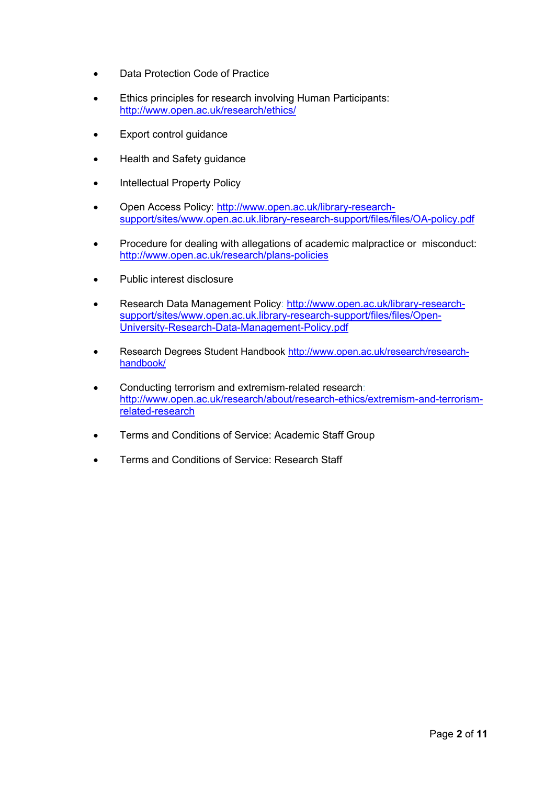- Data Protection Code of Practice
- Ethics principles for research involving Human Participants: <http://www.open.ac.uk/research/ethics/>
- Export control guidance
- Health and Safety guidance
- Intellectual Property Policy
- Open Access Policy: [http://www.open.ac.uk/library-research](http://www.open.ac.uk/library-research-support/sites/www.open.ac.uk.library-research-support/files/files/OA-policy.pdf)[support/sites/www.open.ac.uk.library-research-support/files/files/OA-policy.pdf](http://www.open.ac.uk/library-research-support/sites/www.open.ac.uk.library-research-support/files/files/OA-policy.pdf)
- Procedure for dealing with allegations of academic malpractice or misconduct: <http://www.open.ac.uk/research/plans-policies>
- Public interest disclosure
- Research Data Management Policy: [http://www.open.ac.uk/library-research](http://www.open.ac.uk/library-research-support/sites/www.open.ac.uk.library-research-support/files/files/Open-University-Research-Data-Management-Policy.pdf)[support/sites/www.open.ac.uk.library-research-support/files/files/Open-](http://www.open.ac.uk/library-research-support/sites/www.open.ac.uk.library-research-support/files/files/Open-University-Research-Data-Management-Policy.pdf)[University-Research-Data-Management-Policy.pdf](http://www.open.ac.uk/library-research-support/sites/www.open.ac.uk.library-research-support/files/files/Open-University-Research-Data-Management-Policy.pdf)
- Research Degrees Student Handbook [http://www.open.ac.uk/research/research](http://www.open.ac.uk/research/research-handbook/)[handbook/](http://www.open.ac.uk/research/research-handbook/)
- Conducting terrorism and extremism-related research: [http://www.open.ac.uk/research/about/research-ethics/extremism-and-terrorism](http://www.open.ac.uk/research/about/research-ethics/extremism-and-terrorism-related-research)[related-research](http://www.open.ac.uk/research/about/research-ethics/extremism-and-terrorism-related-research)
- Terms and Conditions of Service: Academic Staff Group
- Terms and Conditions of Service: Research Staff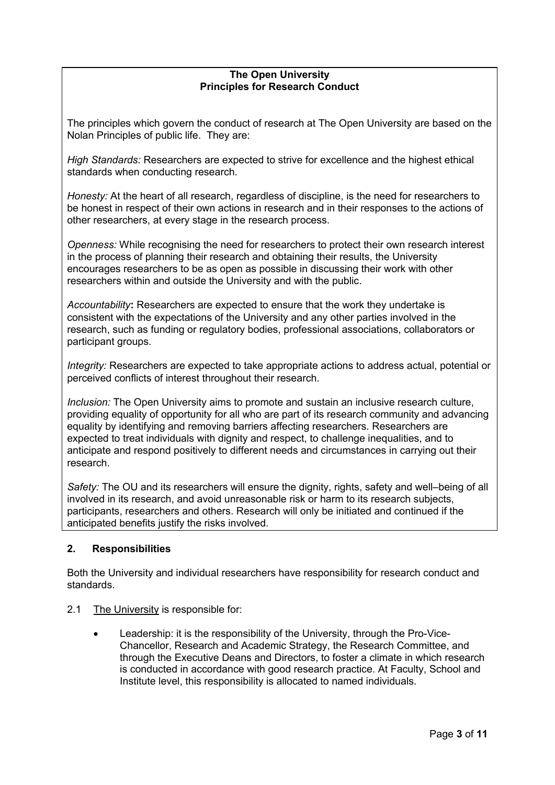#### **The Open University Principles for Research Conduct**

The principles which govern the conduct of research at The Open University are based on the Nolan Principles of public life. They are:

*High Standards:* Researchers are expected to strive for excellence and the highest ethical standards when conducting research.

*Honesty:* At the heart of all research, regardless of discipline, is the need for researchers to be honest in respect of their own actions in research and in their responses to the actions of other researchers, at every stage in the research process.

*Openness:* While recognising the need for researchers to protect their own research interest in the process of planning their research and obtaining their results, the University encourages researchers to be as open as possible in discussing their work with other researchers within and outside the University and with the public.

*Accountability***:** Researchers are expected to ensure that the work they undertake is consistent with the expectations of the University and any other parties involved in the research, such as funding or regulatory bodies, professional associations, collaborators or participant groups.

*Integrity:* Researchers are expected to take appropriate actions to address actual, potential or perceived conflicts of interest throughout their research.

*Inclusion:* The Open University aims to promote and sustain an inclusive research culture, providing equality of opportunity for all who are part of its research community and advancing equality by identifying and removing barriers affecting researchers. Researchers are expected to treat individuals with dignity and respect, to challenge inequalities, and to anticipate and respond positively to different needs and circumstances in carrying out their research.

*Safety:* The OU and its researchers will ensure the dignity, rights, safety and well–being of all involved in its research, and avoid unreasonable risk or harm to its research subjects, participants, researchers and others. Research will only be initiated and continued if the anticipated benefits justify the risks involved.

## **2. Responsibilities**

Both the University and individual researchers have responsibility for research conduct and standards.

- 2.1 The University is responsible for:
	- Leadership: it is the responsibility of the University, through the Pro-Vice-Chancellor, Research and Academic Strategy, the Research Committee, and through the Executive Deans and Directors, to foster a climate in which research is conducted in accordance with good research practice. At Faculty, School and Institute level, this responsibility is allocated to named individuals.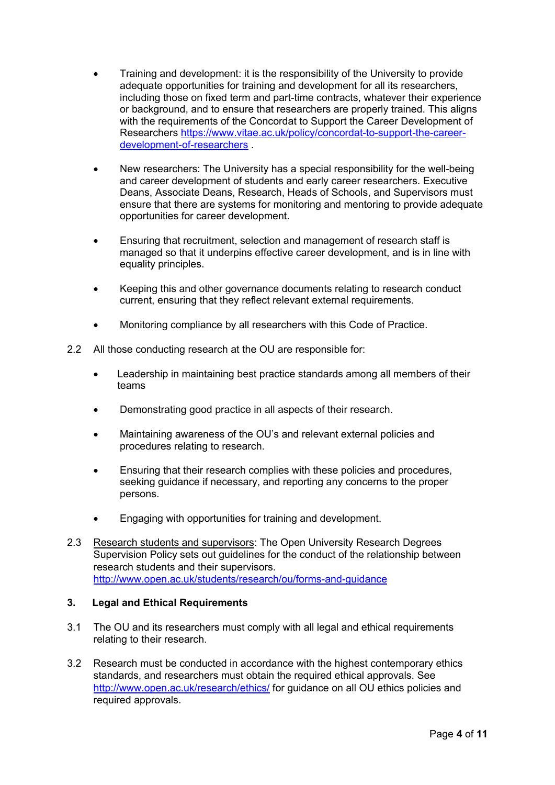- Training and development: it is the responsibility of the University to provide adequate opportunities for training and development for all its researchers, including those on fixed term and part-time contracts, whatever their experience or background, and to ensure that researchers are properly trained. This aligns with the requirements of the Concordat to Support the Career Development of Researchers [https://www.vitae.ac.uk/policy/concordat-to-support-the-career](https://www.vitae.ac.uk/policy/concordat-to-support-the-career-development-of-researchers)[development-of-researchers](https://www.vitae.ac.uk/policy/concordat-to-support-the-career-development-of-researchers) .
- New researchers: The University has a special responsibility for the well-being and career development of students and early career researchers. Executive Deans, Associate Deans, Research, Heads of Schools, and Supervisors must ensure that there are systems for monitoring and mentoring to provide adequate opportunities for career development.
- Ensuring that recruitment, selection and management of research staff is managed so that it underpins effective career development, and is in line with equality principles.
- Keeping this and other governance documents relating to research conduct current, ensuring that they reflect relevant external requirements.
- Monitoring compliance by all researchers with this Code of Practice.
- 2.2 All those conducting research at the OU are responsible for:
	- Leadership in maintaining best practice standards among all members of their teams
	- Demonstrating good practice in all aspects of their research.
	- Maintaining awareness of the OU's and relevant external policies and procedures relating to research.
	- Ensuring that their research complies with these policies and procedures, seeking guidance if necessary, and reporting any concerns to the proper persons.
	- Engaging with opportunities for training and development.
- 2.3 Research students and supervisors: The Open University Research Degrees Supervision Policy sets out guidelines for the conduct of the relationship between research students and their supervisors. <http://www.open.ac.uk/students/research/ou/forms-and-guidance>

## **3. Legal and Ethical Requirements**

- 3.1 The OU and its researchers must comply with all legal and ethical requirements relating to their research.
- 3.2 Research must be conducted in accordance with the highest contemporary ethics standards, and researchers must obtain the required ethical approvals. See <http://www.open.ac.uk/research/ethics/> for guidance on all OU ethics policies and required approvals.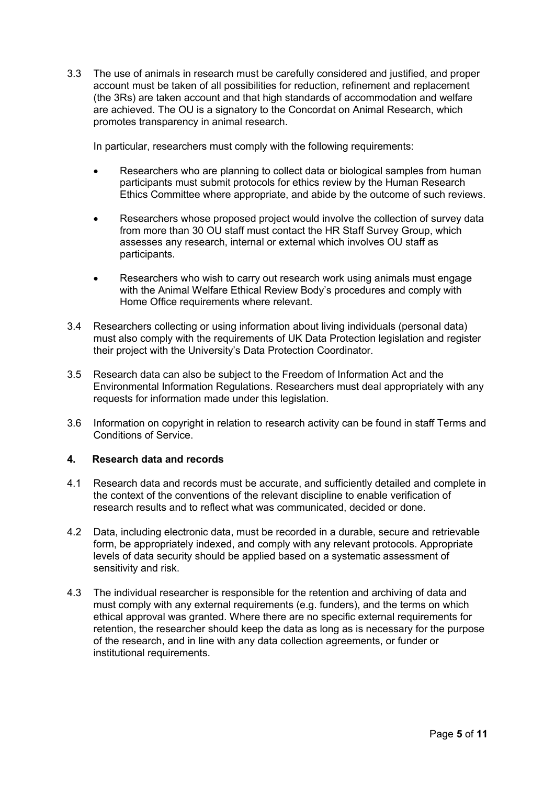3.3 The use of animals in research must be carefully considered and justified, and proper account must be taken of all possibilities for reduction, refinement and replacement (the 3Rs) are taken account and that high standards of accommodation and welfare are achieved. The OU is a signatory to the Concordat on Animal Research, which promotes transparency in animal research.

In particular, researchers must comply with the following requirements:

- Researchers who are planning to collect data or biological samples from human participants must submit protocols for ethics review by the Human Research Ethics Committee where appropriate, and abide by the outcome of such reviews.
- Researchers whose proposed project would involve the collection of survey data from more than 30 OU staff must contact the HR Staff Survey Group, which assesses any research, internal or external which involves OU staff as participants.
- Researchers who wish to carry out research work using animals must engage with the Animal Welfare Ethical Review Body's procedures and comply with Home Office requirements where relevant.
- 3.4 Researchers collecting or using information about living individuals (personal data) must also comply with the requirements of UK Data Protection legislation and register their project with the University's Data Protection Coordinator.
- 3.5 Research data can also be subject to the Freedom of Information Act and the Environmental Information Regulations. Researchers must deal appropriately with any requests for information made under this legislation.
- 3.6 Information on copyright in relation to research activity can be found in staff Terms and Conditions of Service.

## **4. Research data and records**

- 4.1 Research data and records must be accurate, and sufficiently detailed and complete in the context of the conventions of the relevant discipline to enable verification of research results and to reflect what was communicated, decided or done.
- 4.2 Data, including electronic data, must be recorded in a durable, secure and retrievable form, be appropriately indexed, and comply with any relevant protocols. Appropriate levels of data security should be applied based on a systematic assessment of sensitivity and risk.
- 4.3 The individual researcher is responsible for the retention and archiving of data and must comply with any external requirements (e.g. funders), and the terms on which ethical approval was granted. Where there are no specific external requirements for retention, the researcher should keep the data as long as is necessary for the purpose of the research, and in line with any data collection agreements, or funder or institutional requirements.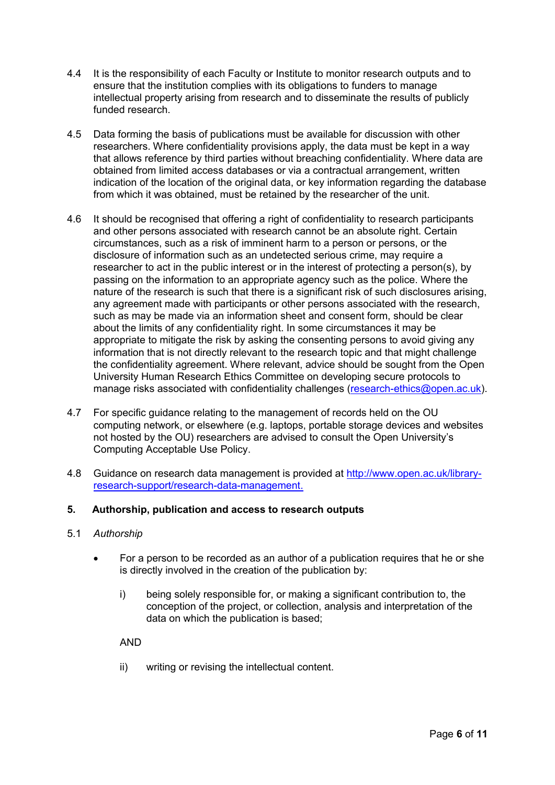- 4.4 It is the responsibility of each Faculty or Institute to monitor research outputs and to ensure that the institution complies with its obligations to funders to manage intellectual property arising from research and to disseminate the results of publicly funded research.
- 4.5 Data forming the basis of publications must be available for discussion with other researchers. Where confidentiality provisions apply, the data must be kept in a way that allows reference by third parties without breaching confidentiality. Where data are obtained from limited access databases or via a contractual arrangement, written indication of the location of the original data, or key information regarding the database from which it was obtained, must be retained by the researcher of the unit.
- 4.6 It should be recognised that offering a right of confidentiality to research participants and other persons associated with research cannot be an absolute right. Certain circumstances, such as a risk of imminent harm to a person or persons, or the disclosure of information such as an undetected serious crime, may require a researcher to act in the public interest or in the interest of protecting a person(s), by passing on the information to an appropriate agency such as the police. Where the nature of the research is such that there is a significant risk of such disclosures arising, any agreement made with participants or other persons associated with the research, such as may be made via an information sheet and consent form, should be clear about the limits of any confidentiality right. In some circumstances it may be appropriate to mitigate the risk by asking the consenting persons to avoid giving any information that is not directly relevant to the research topic and that might challenge the confidentiality agreement. Where relevant, advice should be sought from the Open University Human Research Ethics Committee on developing secure protocols to manage risks associated with confidentiality challenges [\(research-ethics@open.ac.uk\)](mailto:research-ethics@open.ac.uk).
- 4.7 For specific guidance relating to the management of records held on the OU computing network, or elsewhere (e.g. laptops, portable storage devices and websites not hosted by the OU) researchers are advised to consult the Open University's Computing Acceptable Use Policy.
- 4.8 Guidance on research data management is provided at [http://www.open.ac.uk/library](http://www.open.ac.uk/library-research-support/research-data-management)[research-support/research-data-management.](http://www.open.ac.uk/library-research-support/research-data-management)

## **5. Authorship, publication and access to research outputs**

- 5.1 *Authorship*
	- For a person to be recorded as an author of a publication requires that he or she is directly involved in the creation of the publication by:
		- i) being solely responsible for, or making a significant contribution to, the conception of the project, or collection, analysis and interpretation of the data on which the publication is based;

AND

ii) writing or revising the intellectual content.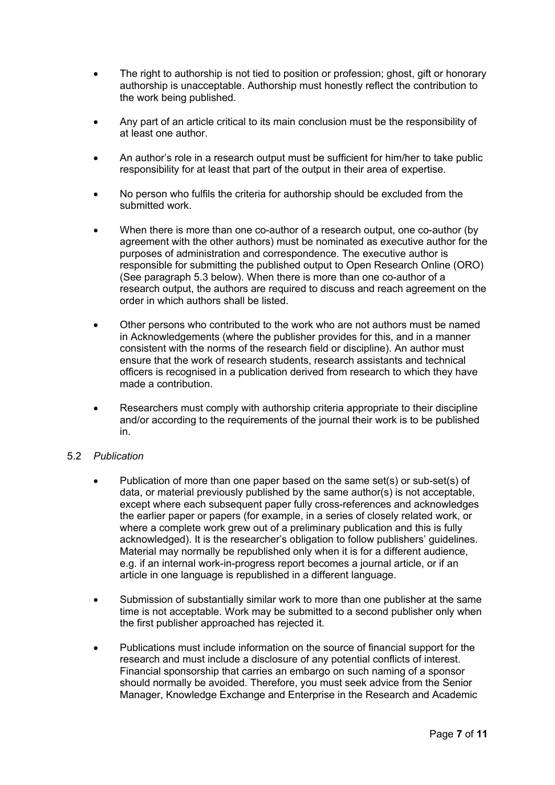- The right to authorship is not tied to position or profession; ghost, gift or honorary authorship is unacceptable. Authorship must honestly reflect the contribution to the work being published.
- Any part of an article critical to its main conclusion must be the responsibility of at least one author.
- An author's role in a research output must be sufficient for him/her to take public responsibility for at least that part of the output in their area of expertise.
- No person who fulfils the criteria for authorship should be excluded from the submitted work.
- When there is more than one co-author of a research output, one co-author (by agreement with the other authors) must be nominated as executive author for the purposes of administration and correspondence. The executive author is responsible for submitting the published output to Open Research Online (ORO) (See paragraph 5.3 below). When there is more than one co-author of a research output, the authors are required to discuss and reach agreement on the order in which authors shall be listed.
- Other persons who contributed to the work who are not authors must be named in Acknowledgements (where the publisher provides for this, and in a manner consistent with the norms of the research field or discipline). An author must ensure that the work of research students, research assistants and technical officers is recognised in a publication derived from research to which they have made a contribution.
- Researchers must comply with authorship criteria appropriate to their discipline and/or according to the requirements of the journal their work is to be published in.

## 5.2 *Publication*

- Publication of more than one paper based on the same set(s) or sub-set(s) of data, or material previously published by the same author(s) is not acceptable, except where each subsequent paper fully cross-references and acknowledges the earlier paper or papers (for example, in a series of closely related work, or where a complete work grew out of a preliminary publication and this is fully acknowledged). It is the researcher's obligation to follow publishers' guidelines. Material may normally be republished only when it is for a different audience, e.g. if an internal work-in-progress report becomes a journal article, or if an article in one language is republished in a different language.
- Submission of substantially similar work to more than one publisher at the same time is not acceptable. Work may be submitted to a second publisher only when the first publisher approached has rejected it.
- Publications must include information on the source of financial support for the research and must include a disclosure of any potential conflicts of interest. Financial sponsorship that carries an embargo on such naming of a sponsor should normally be avoided. Therefore, you must seek advice from the Senior Manager, Knowledge Exchange and Enterprise in the Research and Academic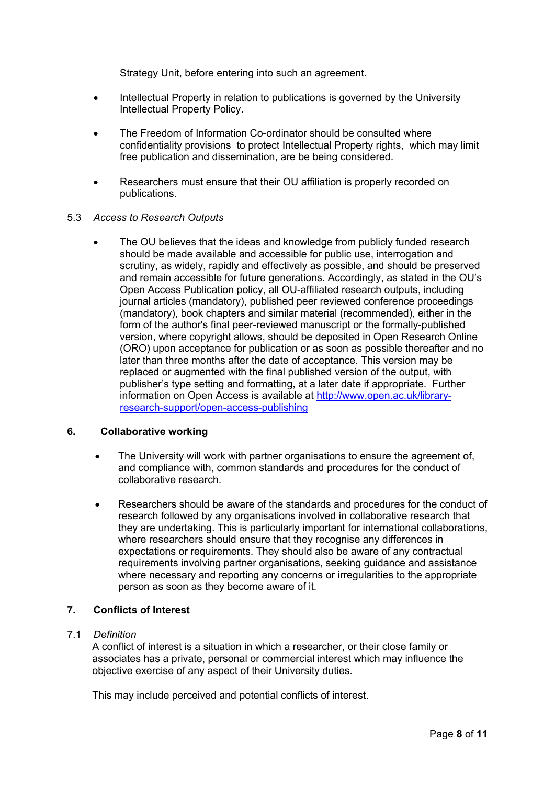Strategy Unit, before entering into such an agreement.

- Intellectual Property in relation to publications is governed by the University Intellectual Property Policy.
- The Freedom of Information Co-ordinator should be consulted where confidentiality provisions to protect Intellectual Property rights, which may limit free publication and dissemination, are be being considered.
- Researchers must ensure that their OU affiliation is properly recorded on publications.

## 5.3 *Access to Research Outputs*

 The OU believes that the ideas and knowledge from publicly funded research should be made available and accessible for public use, interrogation and scrutiny, as widely, rapidly and effectively as possible, and should be preserved and remain accessible for future generations. Accordingly, as stated in the OU's Open Access Publication policy, all OU-affiliated research outputs, including journal articles (mandatory), published peer reviewed conference proceedings (mandatory), book chapters and similar material (recommended), either in the form of the author's final peer-reviewed manuscript or the formally-published version, where copyright allows, should be deposited in Open Research Online (ORO) upon acceptance for publication or as soon as possible thereafter and no later than three months after the date of acceptance. This version may be replaced or augmented with the final published version of the output, with publisher's type setting and formatting, at a later date if appropriate. Further information on Open Access is available at [http://www.open.ac.uk/library](http://www.open.ac.uk/library-research-support/open-access-publishing)[research-support/open-access-publishing](http://www.open.ac.uk/library-research-support/open-access-publishing)

#### **6. Collaborative working**

- The University will work with partner organisations to ensure the agreement of, and compliance with, common standards and procedures for the conduct of collaborative research.
- Researchers should be aware of the standards and procedures for the conduct of research followed by any organisations involved in collaborative research that they are undertaking. This is particularly important for international collaborations, where researchers should ensure that they recognise any differences in expectations or requirements. They should also be aware of any contractual requirements involving partner organisations, seeking guidance and assistance where necessary and reporting any concerns or irregularities to the appropriate person as soon as they become aware of it.

## **7. Conflicts of Interest**

#### 7.1 *Definition*

A conflict of interest is a situation in which a researcher, or their close family or associates has a private, personal or commercial interest which may influence the objective exercise of any aspect of their University duties.

This may include perceived and potential conflicts of interest.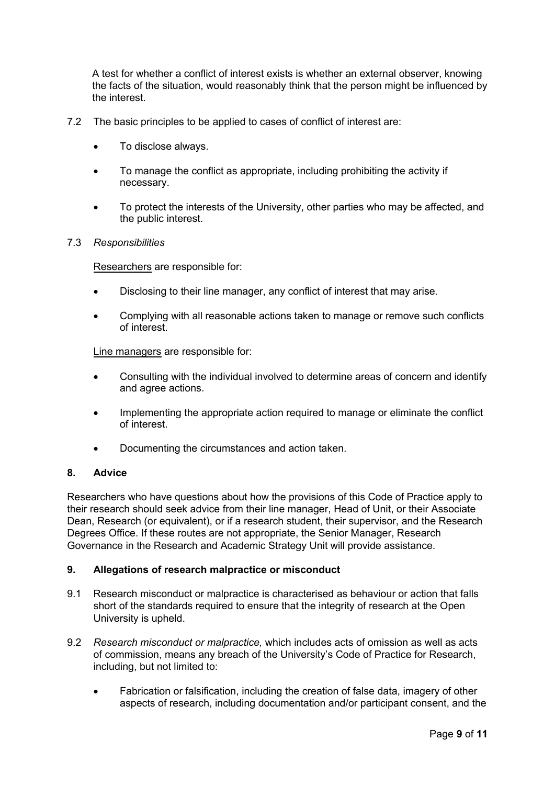A test for whether a conflict of interest exists is whether an external observer, knowing the facts of the situation, would reasonably think that the person might be influenced by the interest.

- 7.2 The basic principles to be applied to cases of conflict of interest are:
	- To disclose always.
	- To manage the conflict as appropriate, including prohibiting the activity if necessary.
	- To protect the interests of the University, other parties who may be affected, and the public interest.

#### 7.3 *Responsibilities*

Researchers are responsible for:

- Disclosing to their line manager, any conflict of interest that may arise.
- Complying with all reasonable actions taken to manage or remove such conflicts of interest.

Line managers are responsible for:

- Consulting with the individual involved to determine areas of concern and identify and agree actions.
- Implementing the appropriate action required to manage or eliminate the conflict of interest.
- Documenting the circumstances and action taken.

#### **8. Advice**

Researchers who have questions about how the provisions of this Code of Practice apply to their research should seek advice from their line manager, Head of Unit, or their Associate Dean, Research (or equivalent), or if a research student, their supervisor, and the Research Degrees Office. If these routes are not appropriate, the Senior Manager, Research Governance in the Research and Academic Strategy Unit will provide assistance.

## **9. Allegations of research malpractice or misconduct**

- 9.1 Research misconduct or malpractice is characterised as behaviour or action that falls short of the standards required to ensure that the integrity of research at the Open University is upheld.
- 9.2 *Research misconduct or malpractice,* which includes acts of omission as well as acts of commission, means any breach of the University's Code of Practice for Research, including, but not limited to:
	- Fabrication or falsification, including the creation of false data, imagery of other aspects of research, including documentation and/or participant consent, and the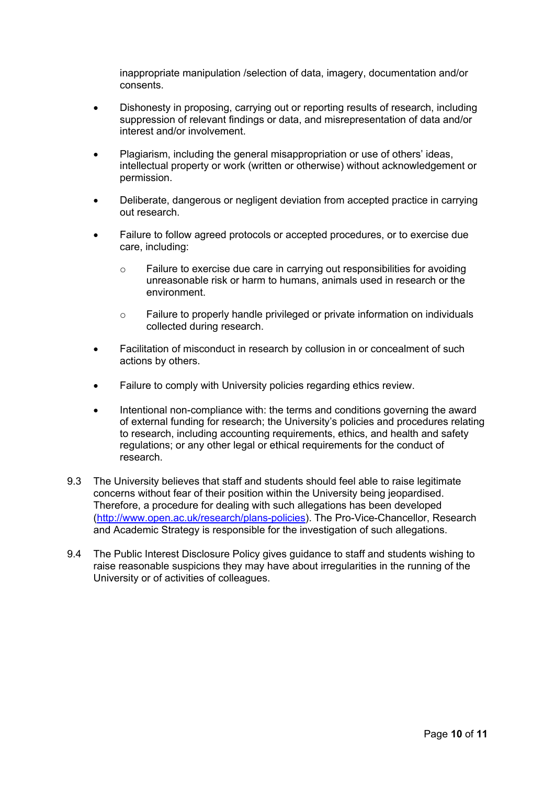inappropriate manipulation /selection of data, imagery, documentation and/or consents.

- Dishonesty in proposing, carrying out or reporting results of research, including suppression of relevant findings or data, and misrepresentation of data and/or interest and/or involvement.
- Plagiarism, including the general misappropriation or use of others' ideas, intellectual property or work (written or otherwise) without acknowledgement or permission.
- Deliberate, dangerous or negligent deviation from accepted practice in carrying out research.
- Failure to follow agreed protocols or accepted procedures, or to exercise due care, including:
	- o Failure to exercise due care in carrying out responsibilities for avoiding unreasonable risk or harm to humans, animals used in research or the environment.
	- $\circ$  Failure to properly handle privileged or private information on individuals collected during research.
- Facilitation of misconduct in research by collusion in or concealment of such actions by others.
- Failure to comply with University policies regarding ethics review.
- Intentional non-compliance with: the terms and conditions governing the award of external funding for research; the University's policies and procedures relating to research, including accounting requirements, ethics, and health and safety regulations; or any other legal or ethical requirements for the conduct of research.
- 9.3 The University believes that staff and students should feel able to raise legitimate concerns without fear of their position within the University being jeopardised. Therefore, a procedure for dealing with such allegations has been developed [\(http://www.open.ac.uk/research/plans-policies\)](http://www.open.ac.uk/research/plans-policies). The Pro-Vice-Chancellor, Research and Academic Strategy is responsible for the investigation of such allegations.
- 9.4 The Public Interest Disclosure Policy gives guidance to staff and students wishing to raise reasonable suspicions they may have about irregularities in the running of the University or of activities of colleagues.